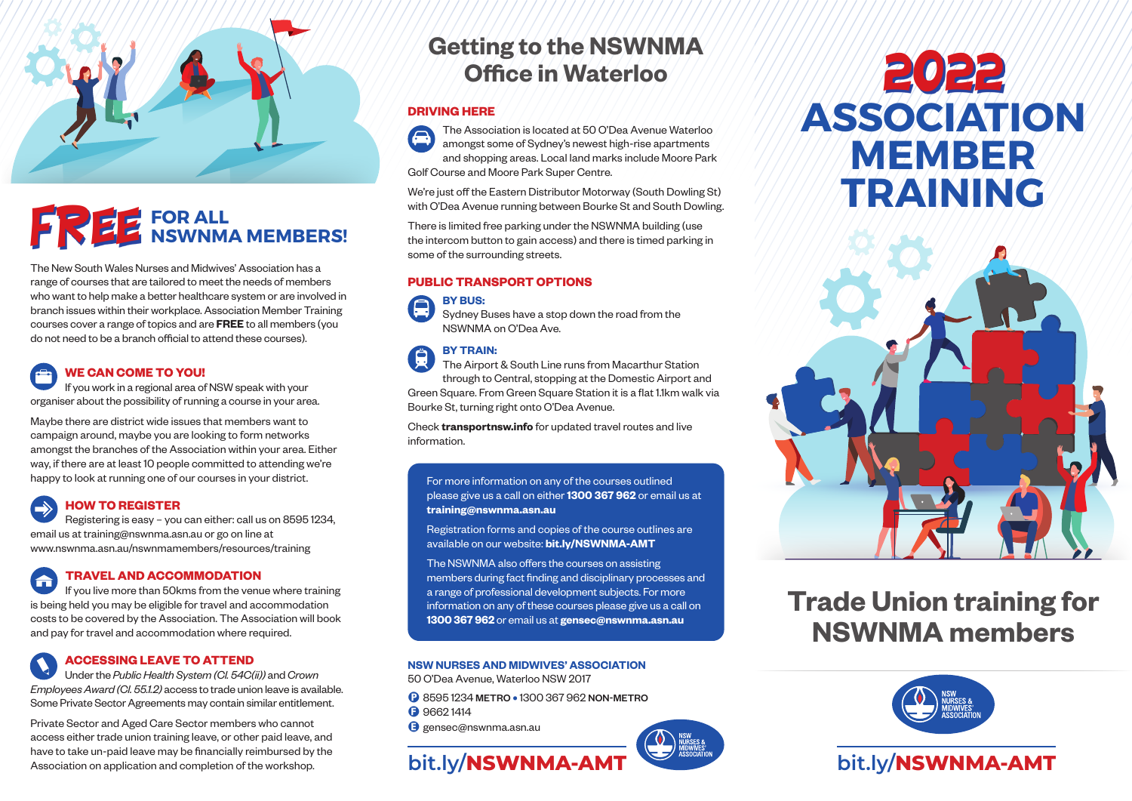

# **FREE** FOR ALL MEMBERS!

The New South Wales Nurses and Midwives' Association has a range of courses that are tailored to meet the needs of members who want to help make a better healthcare system or are involved in branch issues within their workplace. Association Member Training courses cover a range of topics and are **FREE** to all members (you do not need to be a branch official to attend these courses).

### **WE CAN COME TO YOU!** If you work in a regional area of NSW speak with your

organiser about the possibility of running a course in your area.

Maybe there are district wide issues that members want to campaign around, maybe you are looking to form networks amongst the branches of the Association within your area. Either way, if there are at least 10 people committed to attending we're happy to look at running one of our courses in your district.

### **HOW TO REGISTER**

Registering is easy – you can either: call us on 8595 1234, email us at training@nswnma.asn.au or go on line at www.nswnma.asn.au/nswnmamembers/resources/training

### **TRAVEL AND ACCOMMODATION**  $\blacktriangle$

If you live more than 50kms from the venue where training is being held you may be eligible for travel and accommodation costs to be covered by the Association. The Association will book and pay for travel and accommodation where required.

### **ACCESSING LEAVE TO ATTEND**

Under the *Public Health System (Cl. 54C(ii))* and *Crown Employees Award (Cl. 55.1.2)* access to trade union leave is available. Some Private Sector Agreements may contain similar entitlement.

Private Sector and Aged Care Sector members who cannot access either trade union training leave, or other paid leave, and have to take un-paid leave may be financially reimbursed by the Association on application and completion of the workshop.

# **Getting to the NSWNMA Office in Waterloo**

### **DRIVING HERE**

The Association is located at 50 O'Dea Avenue Waterloo amongst some of Sydney's newest high-rise apartments and shopping areas. Local land marks include Moore Park Golf Course and Moore Park Super Centre.

We're just off the Eastern Distributor Motorway (South Dowling St) with O'Dea Avenue running between Bourke St and South Dowling.

There is limited free parking under the NSWNMA building (use the intercom button to gain access) and there is timed parking in some of the surrounding streets.

### **PUBLIC TRANSPORT OPTIONS**

**BY BUS:**



### **BY TRAIN:**  Ġ

The Airport & South Line runs from Macarthur Station through to Central, stopping at the Domestic Airport and Green Square. From Green Square Station it is a flat 1.1km walk via Bourke St, turning right onto O'Dea Avenue.

Check **transportnsw.info** for updated travel routes and live information.

For more information on any of the courses outlined please give us a call on either **1300 367 962** or email us at **training@nswnma.asn.au** 

Registration forms and copies of the course outlines are available on our website: **bit.ly/NSWNMA-AMT**

The NSWNMA also offers the courses on assisting members during fact finding and disciplinary processes and a range of professional development subjects. For more information on any of these courses please give us a call on **1300 367 962** or email us at **gensec@nswnma.asn.au** 

### **NSW NURSES AND MIDWIVES' ASSOCIATION**

50 O'Dea Avenue, Waterloo NSW 2017

- P 8595 1234 METRO **•** 1300 367 962 NON-METRO
- **B** 96621414
- **B** gensec@nswnma.asn.au



# **ASSOCIATION MEMBER TRAINING** 2022



# **Trade Union training for NSWNMA members**



## **bit.ly/NSWNMA-AMT bit.ly/NSWNMA-AMT**